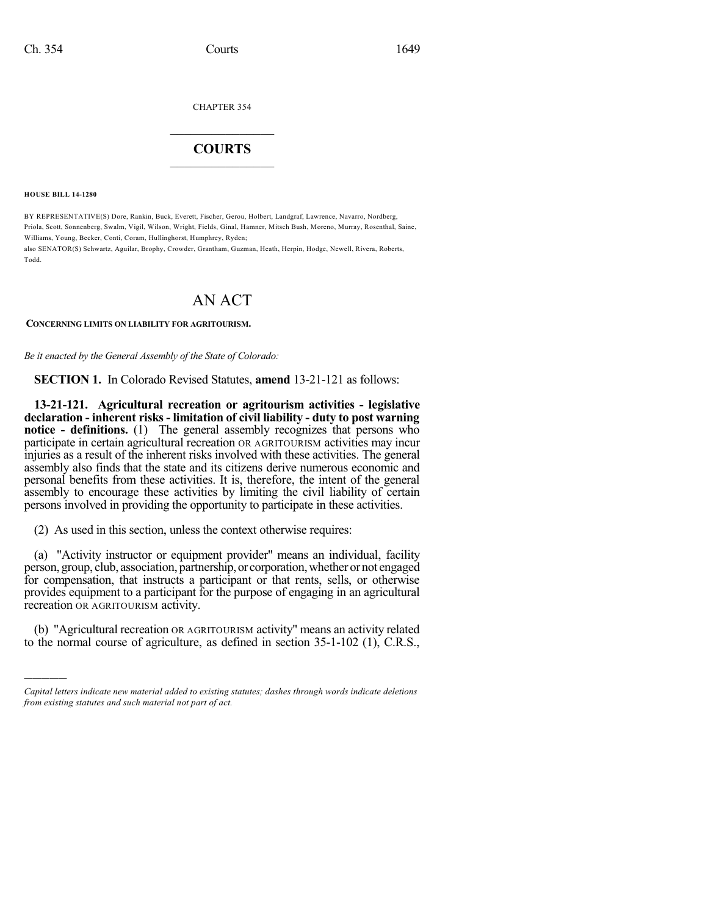CHAPTER 354

## $\mathcal{L}_\text{max}$  . The set of the set of the set of the set of the set of the set of the set of the set of the set of the set of the set of the set of the set of the set of the set of the set of the set of the set of the set **COURTS**  $\_$

**HOUSE BILL 14-1280**

)))))

BY REPRESENTATIVE(S) Dore, Rankin, Buck, Everett, Fischer, Gerou, Holbert, Landgraf, Lawrence, Navarro, Nordberg, Priola, Scott, Sonnenberg, Swalm, Vigil, Wilson, Wright, Fields, Ginal, Hamner, Mitsch Bush, Moreno, Murray, Rosenthal, Saine, Williams, Young, Becker, Conti, Coram, Hullinghorst, Humphrey, Ryden;

also SENATOR(S) Schwartz, Aguilar, Brophy, Crowder, Grantham, Guzman, Heath, Herpin, Hodge, Newell, Rivera, Roberts, Todd.

# AN ACT

### **CONCERNING LIMITS ON LIABILITY FOR AGRITOURISM.**

*Be it enacted by the General Assembly of the State of Colorado:*

**SECTION 1.** In Colorado Revised Statutes, **amend** 13-21-121 as follows:

**13-21-121. Agricultural recreation or agritourism activities - legislative declaration - inherent risks - limitation of civil liability - duty to post warning notice - definitions.** (1) The general assembly recognizes that persons who participate in certain agricultural recreation OR AGRITOURISM activities may incur injuries as a result of the inherent risks involved with these activities. The general assembly also finds that the state and its citizens derive numerous economic and personal benefits from these activities. It is, therefore, the intent of the general assembly to encourage these activities by limiting the civil liability of certain persons involved in providing the opportunity to participate in these activities.

(2) As used in this section, unless the context otherwise requires:

(a) "Activity instructor or equipment provider" means an individual, facility person, group, club, association, partnership, or corporation, whether or not engaged for compensation, that instructs a participant or that rents, sells, or otherwise provides equipment to a participant for the purpose of engaging in an agricultural recreation OR AGRITOURISM activity.

(b) "Agricultural recreation OR AGRITOURISM activity" means an activity related to the normal course of agriculture, as defined in section 35-1-102 (1), C.R.S.,

*Capital letters indicate new material added to existing statutes; dashes through words indicate deletions from existing statutes and such material not part of act.*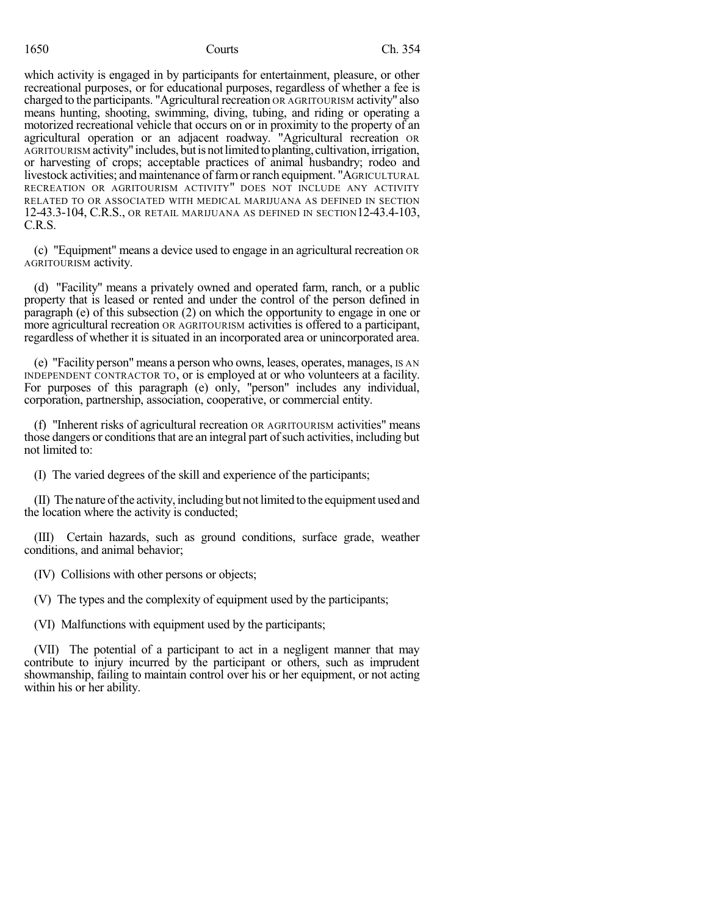which activity is engaged in by participants for entertainment, pleasure, or other recreational purposes, or for educational purposes, regardless of whether a fee is charged to the participants. "Agricultural recreation OR AGRITOURISM activity" also means hunting, shooting, swimming, diving, tubing, and riding or operating a motorized recreational vehicle that occurs on or in proximity to the property of an agricultural operation or an adjacent roadway. "Agricultural recreation OR AGRITOURISM activity" includes, but is not limited to planting, cultivation, irrigation, or harvesting of crops; acceptable practices of animal husbandry; rodeo and livestock activities; and maintenance of farm or ranch equipment. "AGRICULTURAL RECREATION OR AGRITOURISM ACTIVITY" DOES NOT INCLUDE ANY ACTIVITY RELATED TO OR ASSOCIATED WITH MEDICAL MARIJUANA AS DEFINED IN SECTION 12-43.3-104, C.R.S., OR RETAIL MARIJUANA AS DEFINED IN SECTION12-43.4-103, C.R.S.

(c) "Equipment" means a device used to engage in an agricultural recreation OR AGRITOURISM activity.

(d) "Facility" means a privately owned and operated farm, ranch, or a public property that is leased or rented and under the control of the person defined in paragraph (e) of this subsection (2) on which the opportunity to engage in one or more agricultural recreation OR AGRITOURISM activities is offered to a participant, regardless of whether it is situated in an incorporated area or unincorporated area.

(e) "Facility person" means a person who owns, leases, operates, manages, IS AN INDEPENDENT CONTRACTOR TO, or is employed at or who volunteers at a facility. For purposes of this paragraph (e) only, "person" includes any individual, corporation, partnership, association, cooperative, or commercial entity.

(f) "Inherent risks of agricultural recreation OR AGRITOURISM activities" means those dangers or conditions that are an integral part of such activities, including but not limited to:

(I) The varied degrees of the skill and experience of the participants;

(II) The nature ofthe activity, including but not limited to the equipment used and the location where the activity is conducted;

(III) Certain hazards, such as ground conditions, surface grade, weather conditions, and animal behavior;

(IV) Collisions with other persons or objects;

(V) The types and the complexity of equipment used by the participants;

(VI) Malfunctions with equipment used by the participants;

(VII) The potential of a participant to act in a negligent manner that may contribute to injury incurred by the participant or others, such as imprudent showmanship, failing to maintain control over his or her equipment, or not acting within his or her ability.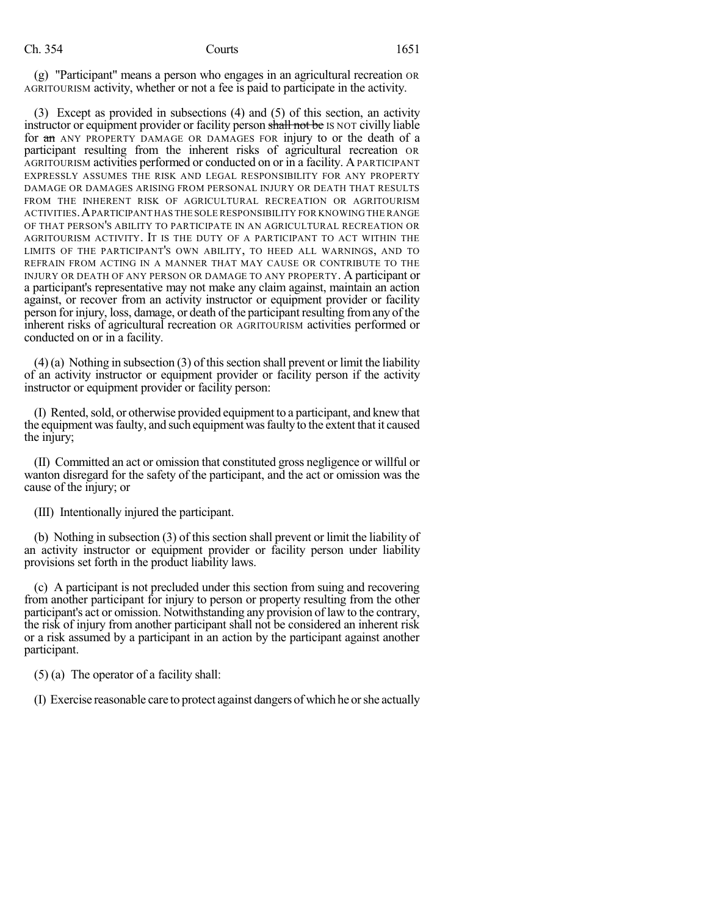(g) "Participant" means a person who engages in an agricultural recreation OR AGRITOURISM activity, whether or not a fee is paid to participate in the activity.

(3) Except as provided in subsections (4) and (5) of this section, an activity instructor or equipment provider or facility person shall not be IS NOT civilly liable for an ANY PROPERTY DAMAGE OR DAMAGES FOR injury to or the death of a participant resulting from the inherent risks of agricultural recreation OR AGRITOURISM activities performed or conducted on or in a facility. A PARTICIPANT EXPRESSLY ASSUMES THE RISK AND LEGAL RESPONSIBILITY FOR ANY PROPERTY DAMAGE OR DAMAGES ARISING FROM PERSONAL INJURY OR DEATH THAT RESULTS FROM THE INHERENT RISK OF AGRICULTURAL RECREATION OR AGRITOURISM ACTIVITIES.APARTICIPANT HAS THE SOLE RESPONSIBILITY FOR KNOWING THE RANGE OF THAT PERSON'S ABILITY TO PARTICIPATE IN AN AGRICULTURAL RECREATION OR AGRITOURISM ACTIVITY. IT IS THE DUTY OF A PARTICIPANT TO ACT WITHIN THE LIMITS OF THE PARTICIPANT'S OWN ABILITY, TO HEED ALL WARNINGS, AND TO REFRAIN FROM ACTING IN A MANNER THAT MAY CAUSE OR CONTRIBUTE TO THE INJURY OR DEATH OF ANY PERSON OR DAMAGE TO ANY PROPERTY. A participant or a participant's representative may not make any claim against, maintain an action against, or recover from an activity instructor or equipment provider or facility person for injury, loss, damage, or death of the participant resulting fromany of the inherent risks of agricultural recreation OR AGRITOURISM activities performed or conducted on or in a facility.

 $(4)$  (a) Nothing in subsection (3) of this section shall prevent or limit the liability of an activity instructor or equipment provider or facility person if the activity instructor or equipment provider or facility person:

(I) Rented,sold, or otherwise provided equipment to a participant, and knew that the equipment was faulty, and such equipment was faulty to the extent that it caused the injury;

(II) Committed an act or omission that constituted gross negligence or willful or wanton disregard for the safety of the participant, and the act or omission was the cause of the injury; or

(III) Intentionally injured the participant.

(b) Nothing in subsection (3) of this section shall prevent or limit the liability of an activity instructor or equipment provider or facility person under liability provisions set forth in the product liability laws.

(c) A participant is not precluded under this section from suing and recovering from another participant for injury to person or property resulting from the other participant's act or omission. Notwithstanding any provision of law to the contrary, the risk of injury from another participant shall not be considered an inherent risk or a risk assumed by a participant in an action by the participant against another participant.

(5) (a) The operator of a facility shall:

(I) Exercise reasonable care to protect against dangers ofwhich he orshe actually